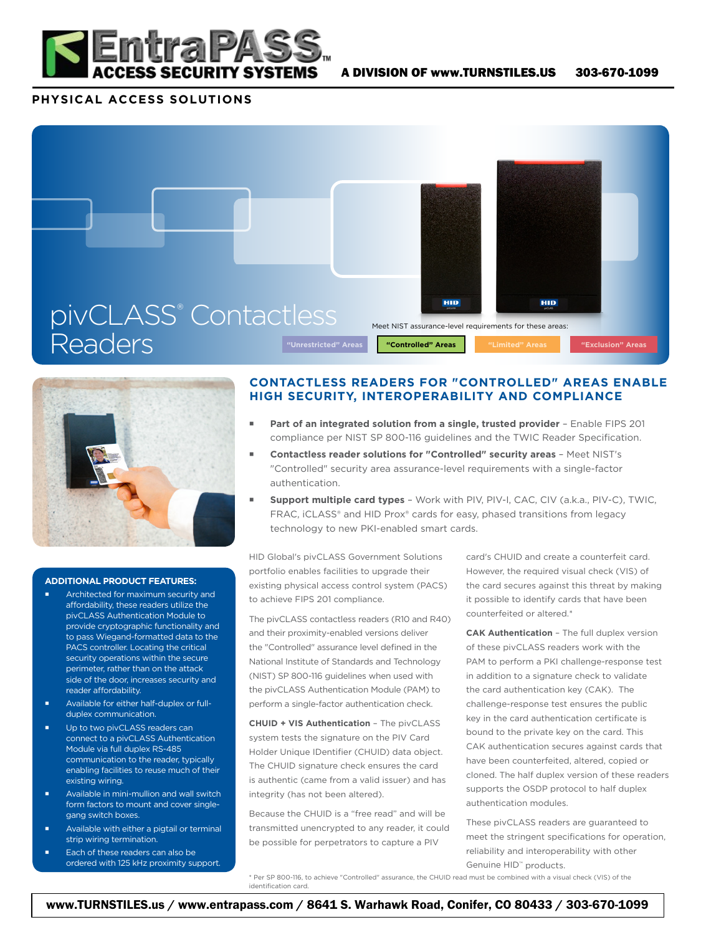

## **PHYSICAL ACCESS SOLUTIONS**





## **ADDITIONAL PRODUCT FEATURES:**

- Architected for maximum security and affordability, these readers utilize the pivCLASS Authentication Module to provide cryptographic functionality and to pass Wiegand-formatted data to the PACS controller. Locating the critical security operations within the secure perimeter, rather than on the attack side of the door, increases security and reader affordability.
- Available for either half-duplex or fullduplex communication.
- Up to two pivCLASS readers can connect to a pivCLASS Authentication Module via full duplex RS-485 communication to the reader, typically enabling facilities to reuse much of their existing wiring.
- Available in mini-mullion and wall switch form factors to mount and cover singlegang switch boxes.
- Available with either a pigtail or terminal strip wiring termination.
- Each of these readers can also be ordered with 125 kHz proximity support.

## **CONTACTLESS READERS FOR "CONTROLLED" AREAS ENABLE HIGH SECURITY, INTEROPERABILITY AND COMPLIANCE**

- Part of an integrated solution from a single, trusted provider Enable FIPS 201 compliance per NIST SP 800-116 guidelines and the TWIC Reader Specification.
- **Contactless reader solutions for "Controlled" security areas**  Meet NIST's "Controlled" security area assurance-level requirements with a single-factor authentication.
- **Support multiple card types**  Work with PIV, PIV-I, CAC, CIV (a.k.a., PIV-C), TWIC, FRAC, iCLASS® and HID Prox® cards for easy, phased transitions from legacy technology to new PKI-enabled smart cards.

HID Global's pivCLASS Government Solutions portfolio enables facilities to upgrade their existing physical access control system (PACS) to achieve FIPS 201 compliance.

The pivCLASS contactless readers (R10 and R40) and their proximity-enabled versions deliver the "Controlled" assurance level defined in the National Institute of Standards and Technology (NIST) SP 800-116 guidelines when used with the pivCLASS Authentication Module (PAM) to perform a single-factor authentication check.

**CHUID + VIS Authentication** – The pivCLASS system tests the signature on the PIV Card Holder Unique IDentifier (CHUID) data object. The CHUID signature check ensures the card is authentic (came from a valid issuer) and has integrity (has not been altered).

Because the CHUID is a "free read" and will be transmitted unencrypted to any reader, it could be possible for perpetrators to capture a PIV

card's CHUID and create a counterfeit card. However, the required visual check (VIS) of the card secures against this threat by making it possible to identify cards that have been counterfeited or altered.\*

**CAK Authentication** – The full duplex version of these pivCLASS readers work with the PAM to perform a PKI challenge-response test in addition to a signature check to validate the card authentication key (CAK). The challenge-response test ensures the public key in the card authentication certificate is bound to the private key on the card. This CAK authentication secures against cards that have been counterfeited, altered, copied or cloned. The half duplex version of these readers supports the OSDP protocol to half duplex authentication modules.

These pivCLASS readers are guaranteed to meet the stringent specifications for operation, reliability and interoperability with other Genuine HID™ products.

\* Per SP 800-116, to achieve "Controlled" assurance, the CHUID read must be combined with a visual check (VIS) of the identification card.